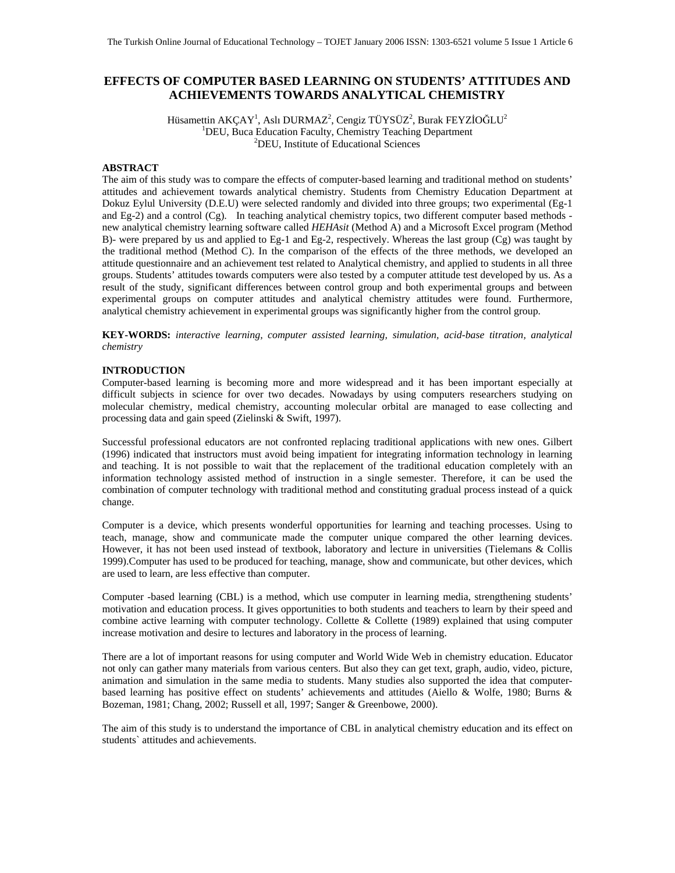# **EFFECTS OF COMPUTER BASED LEARNING ON STUDENTS' ATTITUDES AND ACHIEVEMENTS TOWARDS ANALYTICAL CHEMISTRY**

Hüsamettin AKÇAY<sup>1</sup>, Aslı DURMAZ<sup>2</sup>, Cengiz TÜYSÜZ<sup>2</sup>, Burak FEYZİOĞLU<sup>2</sup>  ${}^{1}$ DEU, Buca Education Faculty, Chemistry Teaching Department  ${}^{2}$ <sup>2</sup>DEU, Institute of Educational Sciences

## **ABSTRACT**

The aim of this study was to compare the effects of computer-based learning and traditional method on students' attitudes and achievement towards analytical chemistry. Students from Chemistry Education Department at Dokuz Eylul University (D.E.U) were selected randomly and divided into three groups; two experimental (Eg-1 and Eg-2) and a control (Cg). In teaching analytical chemistry topics, two different computer based methods new analytical chemistry learning software called *HEHAsit* (Method A) and a Microsoft Excel program (Method B)- were prepared by us and applied to Eg-1 and Eg-2, respectively. Whereas the last group  $(Cg)$  was taught by the traditional method (Method C). In the comparison of the effects of the three methods, we developed an attitude questionnaire and an achievement test related to Analytical chemistry, and applied to students in all three groups. Students' attitudes towards computers were also tested by a computer attitude test developed by us. As a result of the study, significant differences between control group and both experimental groups and between experimental groups on computer attitudes and analytical chemistry attitudes were found. Furthermore, analytical chemistry achievement in experimental groups was significantly higher from the control group.

**KEY-WORDS:** *interactive learning, computer assisted learning, simulation, acid-base titration, analytical chemistry* 

## **INTRODUCTION**

Computer-based learning is becoming more and more widespread and it has been important especially at difficult subjects in science for over two decades. Nowadays by using computers researchers studying on molecular chemistry, medical chemistry, accounting molecular orbital are managed to ease collecting and processing data and gain speed (Zielinski & Swift, 1997).

Successful professional educators are not confronted replacing traditional applications with new ones. Gilbert (1996) indicated that instructors must avoid being impatient for integrating information technology in learning and teaching. It is not possible to wait that the replacement of the traditional education completely with an information technology assisted method of instruction in a single semester. Therefore, it can be used the combination of computer technology with traditional method and constituting gradual process instead of a quick change.

Computer is a device, which presents wonderful opportunities for learning and teaching processes. Using to teach, manage, show and communicate made the computer unique compared the other learning devices. However, it has not been used instead of textbook, laboratory and lecture in universities (Tielemans & Collis 1999).Computer has used to be produced for teaching, manage, show and communicate, but other devices, which are used to learn, are less effective than computer.

Computer -based learning (CBL) is a method, which use computer in learning media, strengthening students' motivation and education process. It gives opportunities to both students and teachers to learn by their speed and combine active learning with computer technology. Collette & Collette (1989) explained that using computer increase motivation and desire to lectures and laboratory in the process of learning.

There are a lot of important reasons for using computer and World Wide Web in chemistry education. Educator not only can gather many materials from various centers. But also they can get text, graph, audio, video, picture, animation and simulation in the same media to students. Many studies also supported the idea that computerbased learning has positive effect on students' achievements and attitudes (Aiello & Wolfe, 1980; Burns & Bozeman, 1981; Chang, 2002; Russell et all, 1997; Sanger & Greenbowe, 2000).

The aim of this study is to understand the importance of CBL in analytical chemistry education and its effect on students` attitudes and achievements.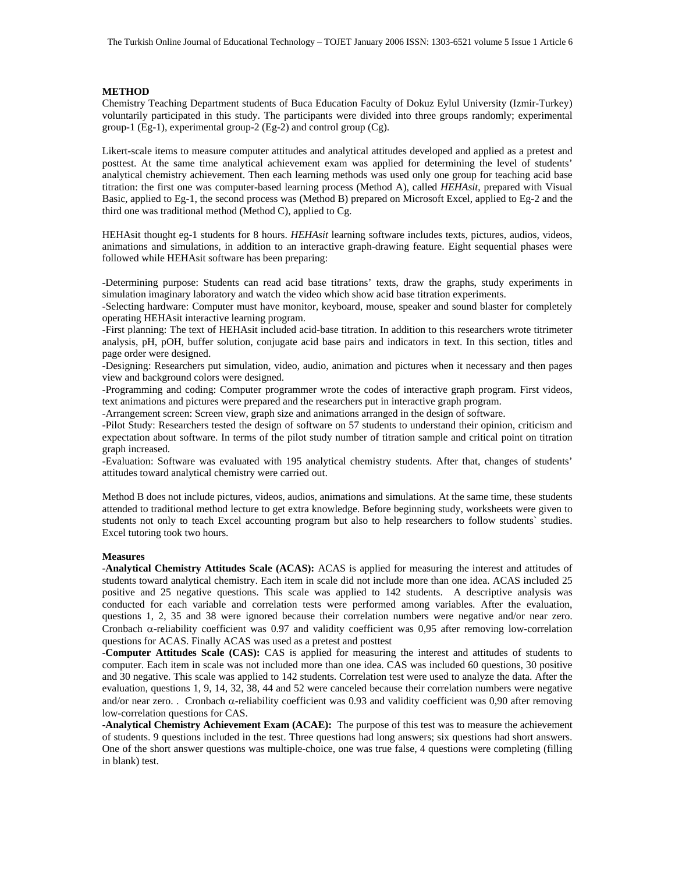## **METHOD**

Chemistry Teaching Department students of Buca Education Faculty of Dokuz Eylul University (Izmir-Turkey) voluntarily participated in this study. The participants were divided into three groups randomly; experimental group-1 (Eg-1), experimental group-2 (Eg-2) and control group (Cg).

Likert-scale items to measure computer attitudes and analytical attitudes developed and applied as a pretest and posttest. At the same time analytical achievement exam was applied for determining the level of students' analytical chemistry achievement. Then each learning methods was used only one group for teaching acid base titration: the first one was computer-based learning process (Method A), called *HEHAsit*, prepared with Visual Basic, applied to Eg-1, the second process was (Method B) prepared on Microsoft Excel, applied to Eg-2 and the third one was traditional method (Method C), applied to Cg.

HEHAsit thought eg-1 students for 8 hours. *HEHAsit* learning software includes texts, pictures, audios, videos, animations and simulations, in addition to an interactive graph-drawing feature. Eight sequential phases were followed while HEHAsit software has been preparing:

**-**Determining purpose: Students can read acid base titrations' texts, draw the graphs, study experiments in simulation imaginary laboratory and watch the video which show acid base titration experiments.

-Selecting hardware: Computer must have monitor, keyboard, mouse, speaker and sound blaster for completely operating HEHAsit interactive learning program.

-First planning: The text of HEHAsit included acid-base titration. In addition to this researchers wrote titrimeter analysis, pH, pOH, buffer solution, conjugate acid base pairs and indicators in text. In this section, titles and page order were designed.

-Designing: Researchers put simulation, video, audio, animation and pictures when it necessary and then pages view and background colors were designed.

-Programming and coding: Computer programmer wrote the codes of interactive graph program. First videos, text animations and pictures were prepared and the researchers put in interactive graph program.

-Arrangement screen: Screen view, graph size and animations arranged in the design of software.

-Pilot Study: Researchers tested the design of software on 57 students to understand their opinion, criticism and expectation about software. In terms of the pilot study number of titration sample and critical point on titration graph increased.

-Evaluation: Software was evaluated with 195 analytical chemistry students. After that, changes of students' attitudes toward analytical chemistry were carried out.

Method B does not include pictures, videos, audios, animations and simulations. At the same time, these students attended to traditional method lecture to get extra knowledge. Before beginning study, worksheets were given to students not only to teach Excel accounting program but also to help researchers to follow students` studies. Excel tutoring took two hours.

#### **Measures**

-**Analytical Chemistry Attitudes Scale (ACAS):** ACAS is applied for measuring the interest and attitudes of students toward analytical chemistry. Each item in scale did not include more than one idea. ACAS included 25 positive and 25 negative questions. This scale was applied to 142 students. A descriptive analysis was conducted for each variable and correlation tests were performed among variables. After the evaluation, questions 1, 2, 35 and 38 were ignored because their correlation numbers were negative and/or near zero. Cronbach  $\alpha$ -reliability coefficient was 0.97 and validity coefficient was 0.95 after removing low-correlation questions for ACAS. Finally ACAS was used as a pretest and posttest

-**Computer Attitudes Scale (CAS):** CAS is applied for measuring the interest and attitudes of students to computer. Each item in scale was not included more than one idea. CAS was included 60 questions, 30 positive and 30 negative. This scale was applied to 142 students. Correlation test were used to analyze the data. After the evaluation, questions 1, 9, 14, 32, 38, 44 and 52 were canceled because their correlation numbers were negative and/or near zero. . Cronbach  $\alpha$ -reliability coefficient was 0.93 and validity coefficient was 0.90 after removing low-correlation questions for CAS.

**-Analytical Chemistry Achievement Exam (ACAE):** The purpose of this test was to measure the achievement of students. 9 questions included in the test. Three questions had long answers; six questions had short answers. One of the short answer questions was multiple-choice, one was true false, 4 questions were completing (filling in blank) test.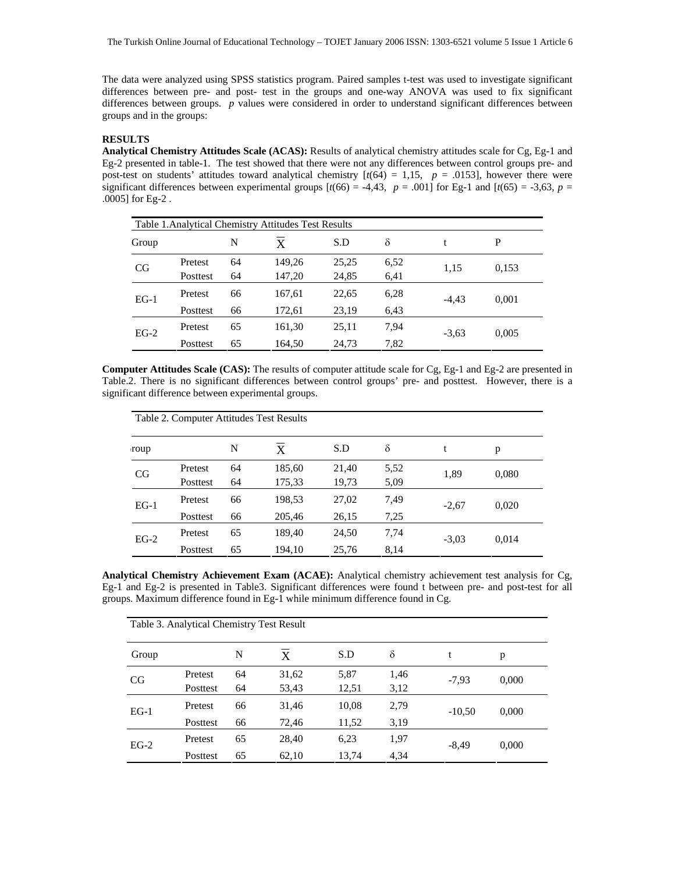The data were analyzed using SPSS statistics program. Paired samples t-test was used to investigate significant differences between pre- and post- test in the groups and one-way ANOVA was used to fix significant differences between groups. *p* values were considered in order to understand significant differences between groups and in the groups:

## **RESULTS**

**Analytical Chemistry Attitudes Scale (ACAS):** Results of analytical chemistry attitudes scale for Cg, Eg-1 and Eg-2 presented in table-1. The test showed that there were not any differences between control groups pre- and post-test on students' attitudes toward analytical chemistry  $\left[\frac{f(64)}{2}\right] = 1.15$ ,  $p = .0153$ , however there were significant differences between experimental groups  $[t(66) = -4, 43, p = .001]$  for Eg-1 and  $[t(65) = -3, 63, p = .001]$ .0005] for Eg-2 .

| Table 1. Analytical Chemistry Attitudes Test Results |          |    |        |       |          |         |       |  |
|------------------------------------------------------|----------|----|--------|-------|----------|---------|-------|--|
| Group                                                |          | N  | X      | S.D   | $\delta$ |         | P     |  |
| CG                                                   | Pretest  | 64 | 149,26 | 25,25 | 6,52     | 1,15    | 0,153 |  |
|                                                      | Posttest | 64 | 147,20 | 24,85 | 6,41     |         |       |  |
| $EG-1$                                               | Pretest  | 66 | 167,61 | 22,65 | 6,28     | $-4.43$ | 0,001 |  |
|                                                      | Posttest | 66 | 172,61 | 23,19 | 6,43     |         |       |  |
| $EG-2$                                               | Pretest  | 65 | 161,30 | 25,11 | 7.94     | $-3,63$ | 0,005 |  |
|                                                      | Posttest | 65 | 164,50 | 24,73 | 7,82     |         |       |  |

**Computer Attitudes Scale (CAS):** The results of computer attitude scale for Cg, Eg-1 and Eg-2 are presented in Table.2. There is no significant differences between control groups' pre- and posttest. However, there is a significant difference between experimental groups.

| Table 2. Computer Attitudes Test Results |                     |          |                  |                |              |         |       |  |
|------------------------------------------|---------------------|----------|------------------|----------------|--------------|---------|-------|--|
| roup                                     |                     | N        | X                | S.D            | $\delta$     | t       | p     |  |
| CG                                       | Pretest<br>Posttest | 64<br>64 | 185,60<br>175,33 | 21,40<br>19,73 | 5,52<br>5,09 | 1,89    | 0,080 |  |
| $EG-1$                                   | Pretest             | 66       | 198,53           | 27,02          | 7,49         | $-2,67$ | 0,020 |  |
|                                          | Posttest            | 66       | 205,46           | 26,15          | 7,25         |         |       |  |
| $EG-2$                                   | Pretest             | 65       | 189,40           | 24,50          | 7,74         | $-3,03$ | 0,014 |  |
|                                          | Posttest            | 65       | 194,10           | 25,76          | 8,14         |         |       |  |

**Analytical Chemistry Achievement Exam (ACAE):** Analytical chemistry achievement test analysis for Cg, Eg-1 and Eg-2 is presented in Table3. Significant differences were found t between pre- and post-test for all groups. Maximum difference found in Eg-1 while minimum difference found in Cg.

| Table 3. Analytical Chemistry Test Result |          |    |       |       |          |          |       |  |
|-------------------------------------------|----------|----|-------|-------|----------|----------|-------|--|
| Group                                     |          | N  | X     | S.D   | $\delta$ | t        | p     |  |
| CG                                        | Pretest  | 64 | 31,62 | 5,87  | 1,46     | $-7,93$  | 0,000 |  |
|                                           | Posttest | 64 | 53,43 | 12,51 | 3,12     |          |       |  |
| $EG-1$                                    | Pretest  | 66 | 31,46 | 10,08 | 2,79     | $-10,50$ | 0,000 |  |
|                                           | Posttest | 66 | 72,46 | 11,52 | 3,19     |          |       |  |
| $EG-2$                                    | Pretest  | 65 | 28,40 | 6,23  | 1,97     | $-8.49$  | 0,000 |  |
|                                           | Posttest | 65 | 62,10 | 13,74 | 4,34     |          |       |  |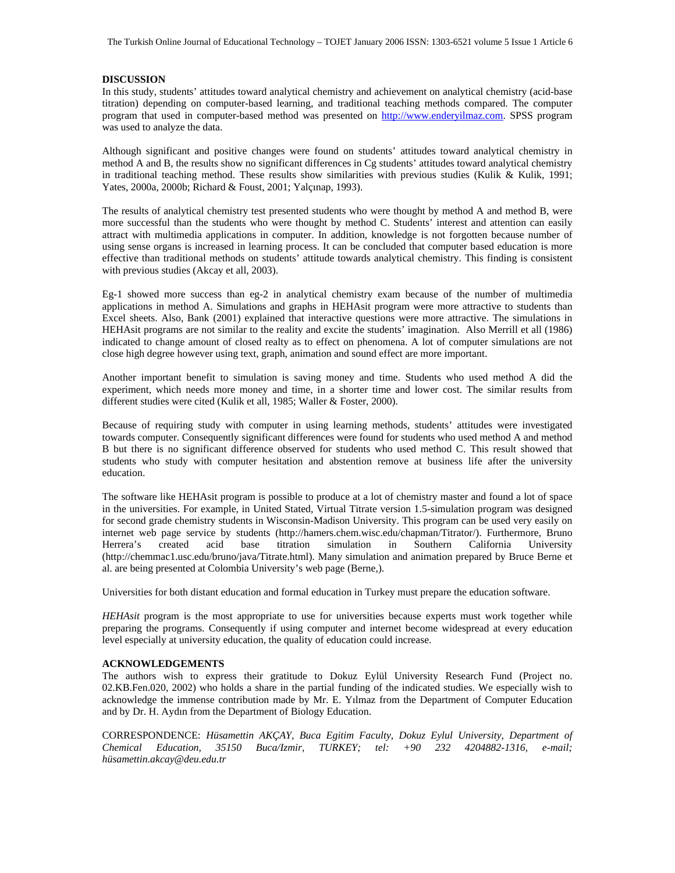The Turkish Online Journal of Educational Technology – TOJET January 2006 ISSN: 1303-6521 volume 5 Issue 1 Article 6

#### **DISCUSSION**

In this study, students' attitudes toward analytical chemistry and achievement on analytical chemistry (acid-base titration) depending on computer-based learning, and traditional teaching methods compared. The computer program that used in computer-based method was presented on http://www.enderyilmaz.com. SPSS program was used to analyze the data.

Although significant and positive changes were found on students' attitudes toward analytical chemistry in method A and B, the results show no significant differences in Cg students' attitudes toward analytical chemistry in traditional teaching method. These results show similarities with previous studies (Kulik & Kulik, 1991; Yates, 2000a, 2000b; Richard & Foust, 2001; Yalçınap, 1993).

The results of analytical chemistry test presented students who were thought by method A and method B, were more successful than the students who were thought by method C. Students' interest and attention can easily attract with multimedia applications in computer. In addition, knowledge is not forgotten because number of using sense organs is increased in learning process. It can be concluded that computer based education is more effective than traditional methods on students' attitude towards analytical chemistry. This finding is consistent with previous studies (Akcay et all, 2003).

Eg-1 showed more success than eg-2 in analytical chemistry exam because of the number of multimedia applications in method A. Simulations and graphs in HEHAsit program were more attractive to students than Excel sheets. Also, Bank (2001) explained that interactive questions were more attractive. The simulations in HEHAsit programs are not similar to the reality and excite the students' imagination. Also Merrill et all (1986) indicated to change amount of closed realty as to effect on phenomena. A lot of computer simulations are not close high degree however using text, graph, animation and sound effect are more important.

Another important benefit to simulation is saving money and time. Students who used method A did the experiment, which needs more money and time, in a shorter time and lower cost. The similar results from different studies were cited (Kulik et all, 1985; Waller & Foster, 2000).

Because of requiring study with computer in using learning methods, students' attitudes were investigated towards computer. Consequently significant differences were found for students who used method A and method B but there is no significant difference observed for students who used method C. This result showed that students who study with computer hesitation and abstention remove at business life after the university education.

The software like HEHAsit program is possible to produce at a lot of chemistry master and found a lot of space in the universities. For example, in United Stated, Virtual Titrate version 1.5-simulation program was designed for second grade chemistry students in Wisconsin-Madison University. This program can be used very easily on internet web page service by students (http://hamers.chem.wisc.edu/chapman/Titrator/). Furthermore, Bruno<br>Herrera's created acid base titration simulation in Southern California University Herrera's created acid base titration simulation in Southern California University (http://chemmac1.usc.edu/bruno/java/Titrate.html). Many simulation and animation prepared by Bruce Berne et al. are being presented at Colombia University's web page (Berne,).

Universities for both distant education and formal education in Turkey must prepare the education software.

*HEHAsit* program is the most appropriate to use for universities because experts must work together while preparing the programs. Consequently if using computer and internet become widespread at every education level especially at university education, the quality of education could increase.

#### **ACKNOWLEDGEMENTS**

The authors wish to express their gratitude to Dokuz Eylül University Research Fund (Project no. 02.KB.Fen.020, 2002) who holds a share in the partial funding of the indicated studies. We especially wish to acknowledge the immense contribution made by Mr. E. Yılmaz from the Department of Computer Education and by Dr. H. Aydın from the Department of Biology Education.

CORRESPONDENCE: *Hüsamettin AKÇAY, Buca Egitim Faculty, Dokuz Eylul University, Department of Chemical Education, 35150 Buca/Izmir, TURKEY; tel: +90 232 4204882-1316, e-mail; hüsamettin.akcay@deu.edu.tr*